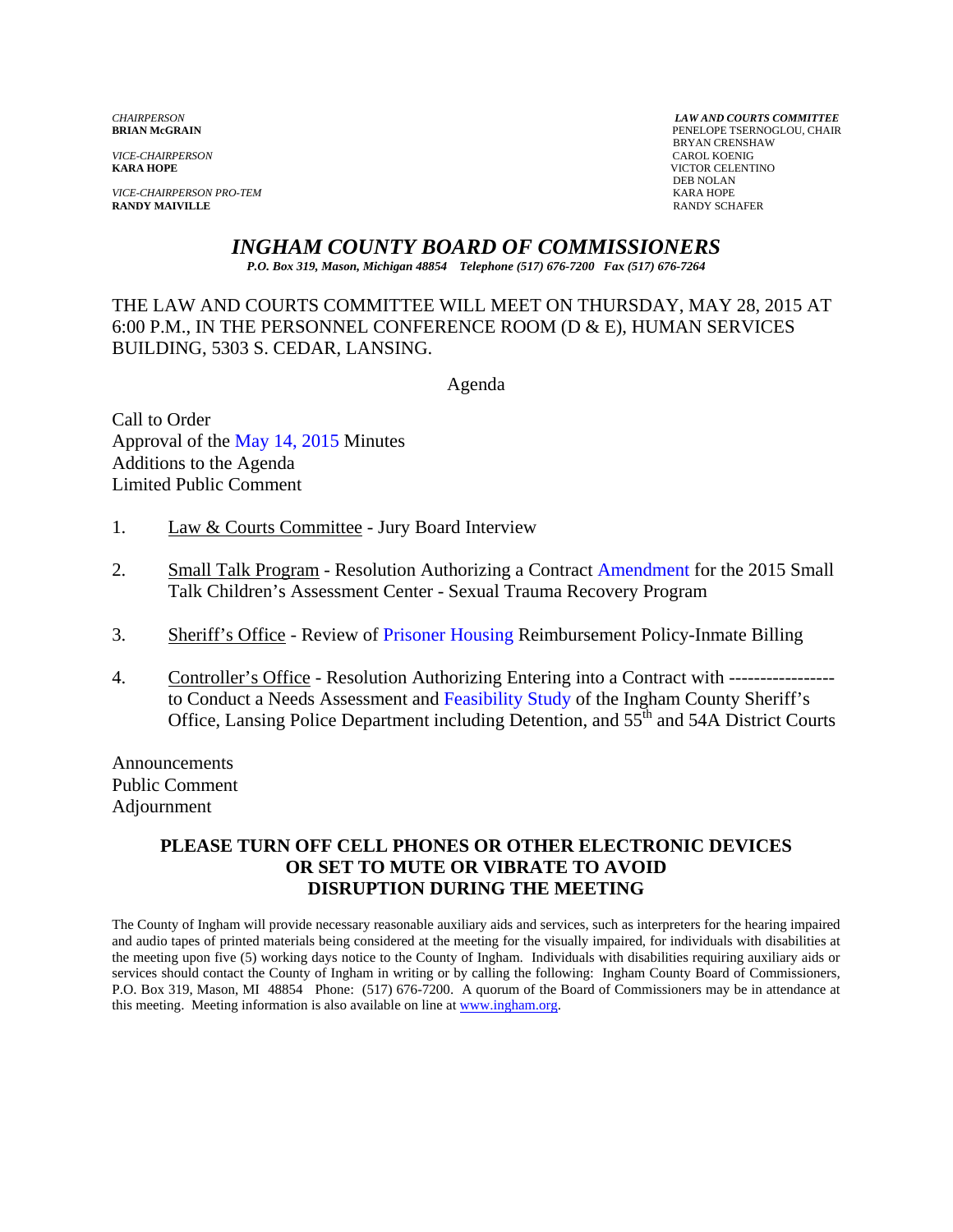*VICE-CHAIRPERSON*<br>**KARA HOPE** 

*VICE-CHAIRPERSON PRO-TEM* KARA HOPE **RANDY MAIVILLE** 

*CHAIRPERSON LAW AND COURTS COMMITTEE* PENELOPE TSERNOGLOU, CHAIR **BRYAN CRENSHAW**<br>CAROL KOENIG **KICTOR CELENTINO**<br>DEB NOLAN DEB NOLAN

*INGHAM COUNTY BOARD OF COMMISSIONERS* 

*P.O. Box 319, Mason, Michigan 48854 Telephone (517) 676-7200 Fax (517) 676-7264*

THE LAW AND COURTS COMMITTEE WILL MEET ON THURSDAY, MAY 28, 2015 AT 6:00 P.M., IN THE PERSONNEL CONFERENCE ROOM (D & E), HUMAN SERVICES BUILDING, 5303 S. CEDAR, LANSING.

Agenda

Call to Order Approval [of the May 14, 2015 Minutes](#page-1-0)  Additions to the Agenda Limited Public Comment

- 1. Law & Courts Committee Jury Board Interview
- 2. Small Talk Program Resolution Authorizing a Cont[ract Amendment for the 2015](#page-6-0) Small Talk Children's Assessment Center - Sexual Trauma Recovery Program
- 3. Sheriff's Office Revie[w of Prisoner Housing Reim](#page-10-0)bursement Policy-Inmate Billing
- 4. Controller's Office Resolution Authorizing Entering into a Contract with ---------------- to Conduct a Needs Assessment and Feasibility Study of the Ingham County Sheriff's Office, Lansing Police Department including Detention, and  $55<sup>th</sup>$  and 54A District Courts

Announcements Public Comment Adjournment

### **PLEASE TURN OFF CELL PHONES OR OTHER ELECTRONIC DEVICES OR SET TO MUTE OR VIBRATE TO AVOID DISRUPTION DURING THE MEETING**

The County of Ingham will provide necessary reasonable auxiliary aids and services, such as interpreters for the hearing impaired and audio tapes of printed materials being considered at the meeting for the visually impaired, for individuals with disabilities at the meeting upon five (5) working days notice to the County of Ingham. Individuals with disabilities requiring auxiliary aids or services should contact the County of Ingham in writing or by calling the following: Ingham County Board of Commissioners, P.O. Box 319, Mason, MI 48854 Phone: (517) 676-7200. A quorum of the Board of Commissioners may be in attendance at this meeting. Meeting information is also available on line at www.ingham.org.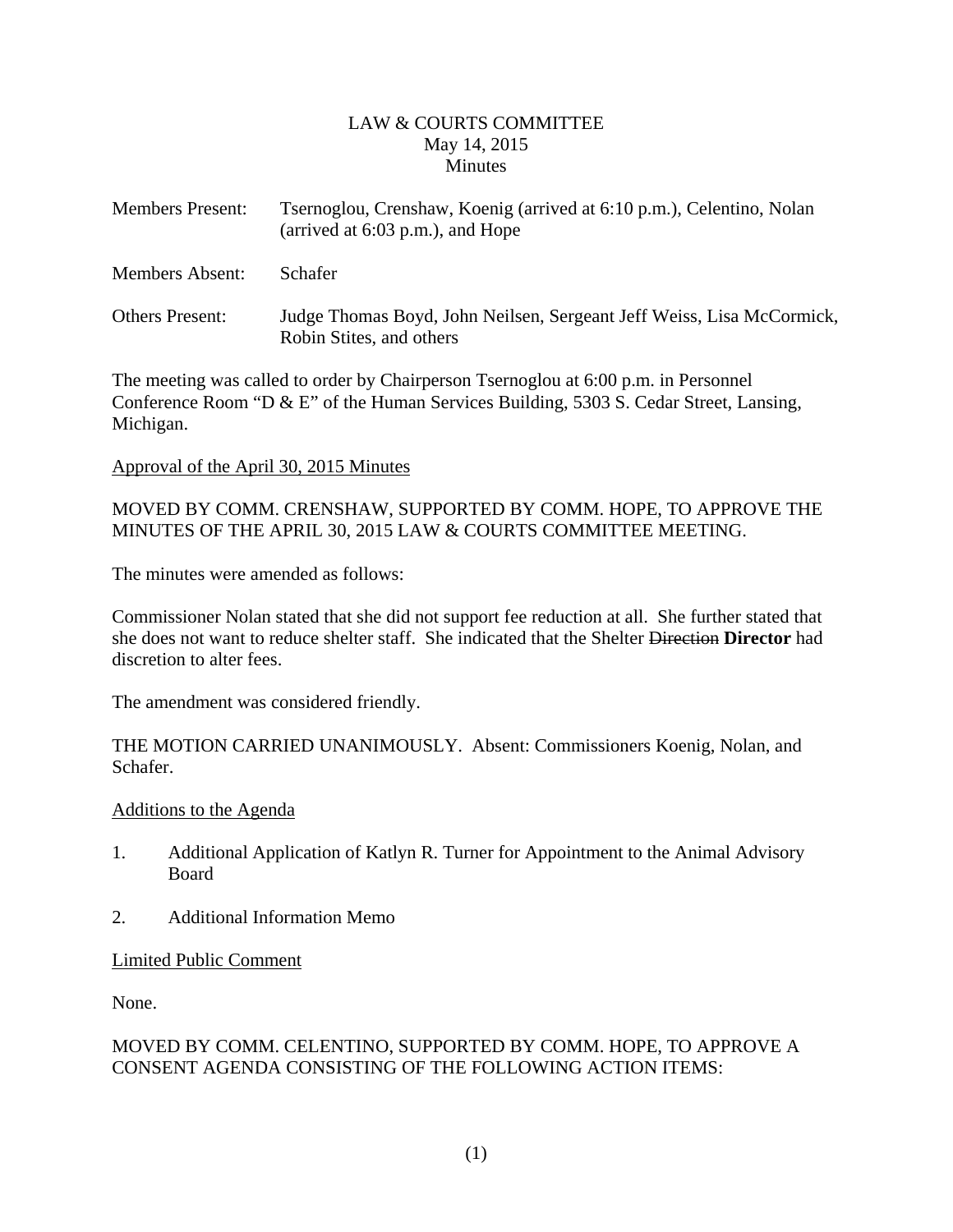### LAW & COURTS COMMITTEE May 14, 2015 **Minutes**

<span id="page-1-0"></span>

| <b>Members Present:</b> | Tsernoglou, Crenshaw, Koenig (arrived at 6:10 p.m.), Celentino, Nolan<br>(arrived at $6:03$ p.m.), and Hope |  |  |  |
|-------------------------|-------------------------------------------------------------------------------------------------------------|--|--|--|
| Members Absent:         | <b>Schafer</b>                                                                                              |  |  |  |
| <b>Others Present:</b>  | Judge Thomas Boyd, John Neilsen, Sergeant Jeff Weiss, Lisa McCormick,<br>Robin Stites, and others           |  |  |  |

The meeting was called to order by Chairperson Tsernoglou at 6:00 p.m. in Personnel Conference Room "D & E" of the Human Services Building, 5303 S. Cedar Street, Lansing, Michigan.

#### Approval of the April 30, 2015 Minutes

MOVED BY COMM. CRENSHAW, SUPPORTED BY COMM. HOPE, TO APPROVE THE MINUTES OF THE APRIL 30, 2015 LAW & COURTS COMMITTEE MEETING.

The minutes were amended as follows:

Commissioner Nolan stated that she did not support fee reduction at all. She further stated that she does not want to reduce shelter staff. She indicated that the Shelter Direction **Director** had discretion to alter fees.

The amendment was considered friendly.

THE MOTION CARRIED UNANIMOUSLY. Absent: Commissioners Koenig, Nolan, and Schafer.

#### Additions to the Agenda

- 1. Additional Application of Katlyn R. Turner for Appointment to the Animal Advisory Board
- 2. Additional Information Memo

## Limited Public Comment

None.

## MOVED BY COMM. CELENTINO, SUPPORTED BY COMM. HOPE, TO APPROVE A CONSENT AGENDA CONSISTING OF THE FOLLOWING ACTION ITEMS: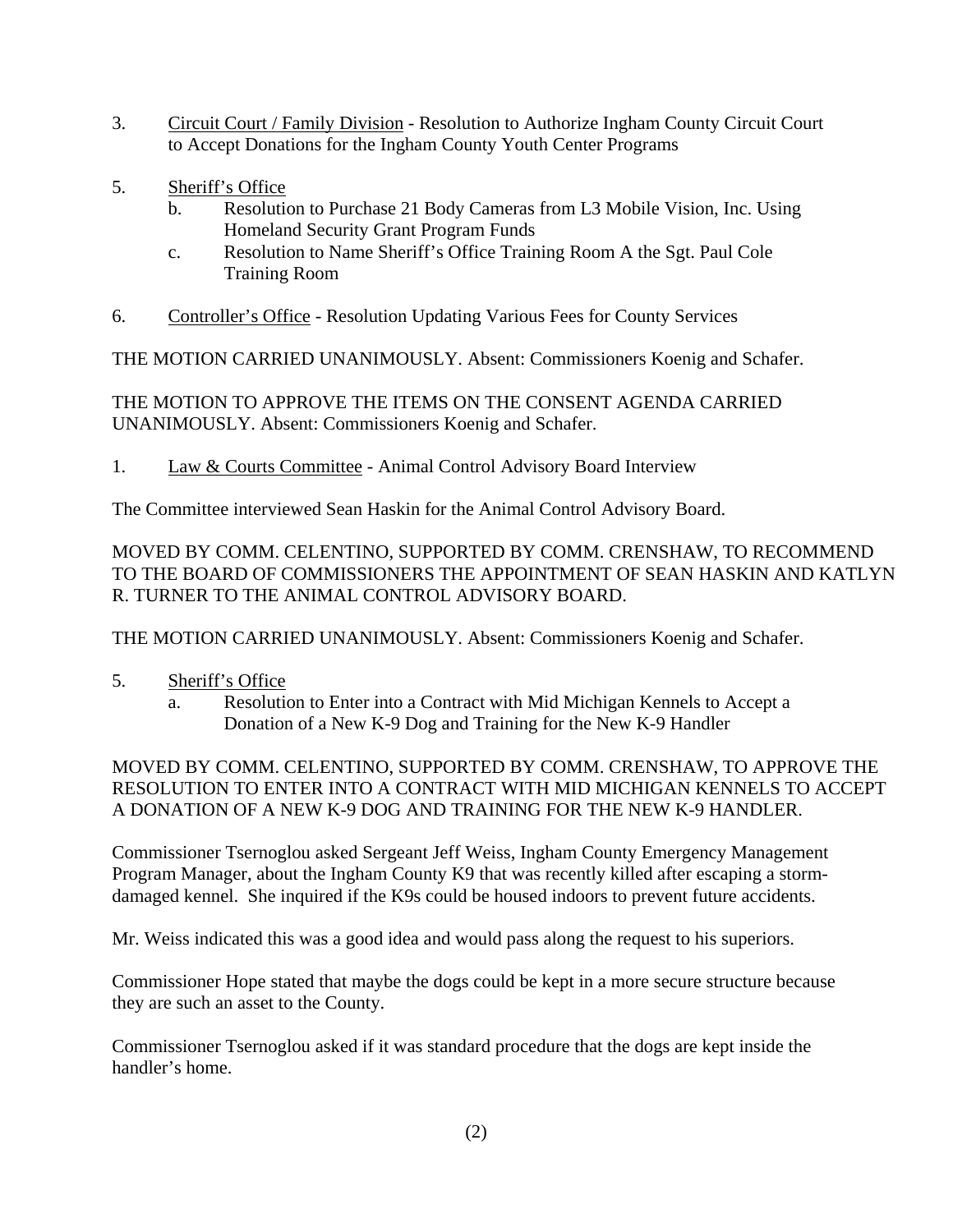- 3. Circuit Court / Family Division Resolution to Authorize Ingham County Circuit Court to Accept Donations for the Ingham County Youth Center Programs
- 5. Sheriff's Office
	- b. Resolution to Purchase 21 Body Cameras from L3 Mobile Vision, Inc. Using Homeland Security Grant Program Funds
	- c. Resolution to Name Sheriff's Office Training Room A the Sgt. Paul Cole Training Room
- 6. Controller's Office Resolution Updating Various Fees for County Services

THE MOTION CARRIED UNANIMOUSLY. Absent: Commissioners Koenig and Schafer.

THE MOTION TO APPROVE THE ITEMS ON THE CONSENT AGENDA CARRIED UNANIMOUSLY. Absent: Commissioners Koenig and Schafer.

1. Law & Courts Committee - Animal Control Advisory Board Interview

The Committee interviewed Sean Haskin for the Animal Control Advisory Board.

MOVED BY COMM. CELENTINO, SUPPORTED BY COMM. CRENSHAW, TO RECOMMEND TO THE BOARD OF COMMISSIONERS THE APPOINTMENT OF SEAN HASKIN AND KATLYN R. TURNER TO THE ANIMAL CONTROL ADVISORY BOARD.

THE MOTION CARRIED UNANIMOUSLY. Absent: Commissioners Koenig and Schafer.

- 5. Sheriff's Office
	- a. Resolution to Enter into a Contract with Mid Michigan Kennels to Accept a Donation of a New K-9 Dog and Training for the New K-9 Handler

MOVED BY COMM. CELENTINO, SUPPORTED BY COMM. CRENSHAW, TO APPROVE THE RESOLUTION TO ENTER INTO A CONTRACT WITH MID MICHIGAN KENNELS TO ACCEPT A DONATION OF A NEW K-9 DOG AND TRAINING FOR THE NEW K-9 HANDLER.

Commissioner Tsernoglou asked Sergeant Jeff Weiss, Ingham County Emergency Management Program Manager, about the Ingham County K9 that was recently killed after escaping a stormdamaged kennel. She inquired if the K9s could be housed indoors to prevent future accidents.

Mr. Weiss indicated this was a good idea and would pass along the request to his superiors.

Commissioner Hope stated that maybe the dogs could be kept in a more secure structure because they are such an asset to the County.

Commissioner Tsernoglou asked if it was standard procedure that the dogs are kept inside the handler's home.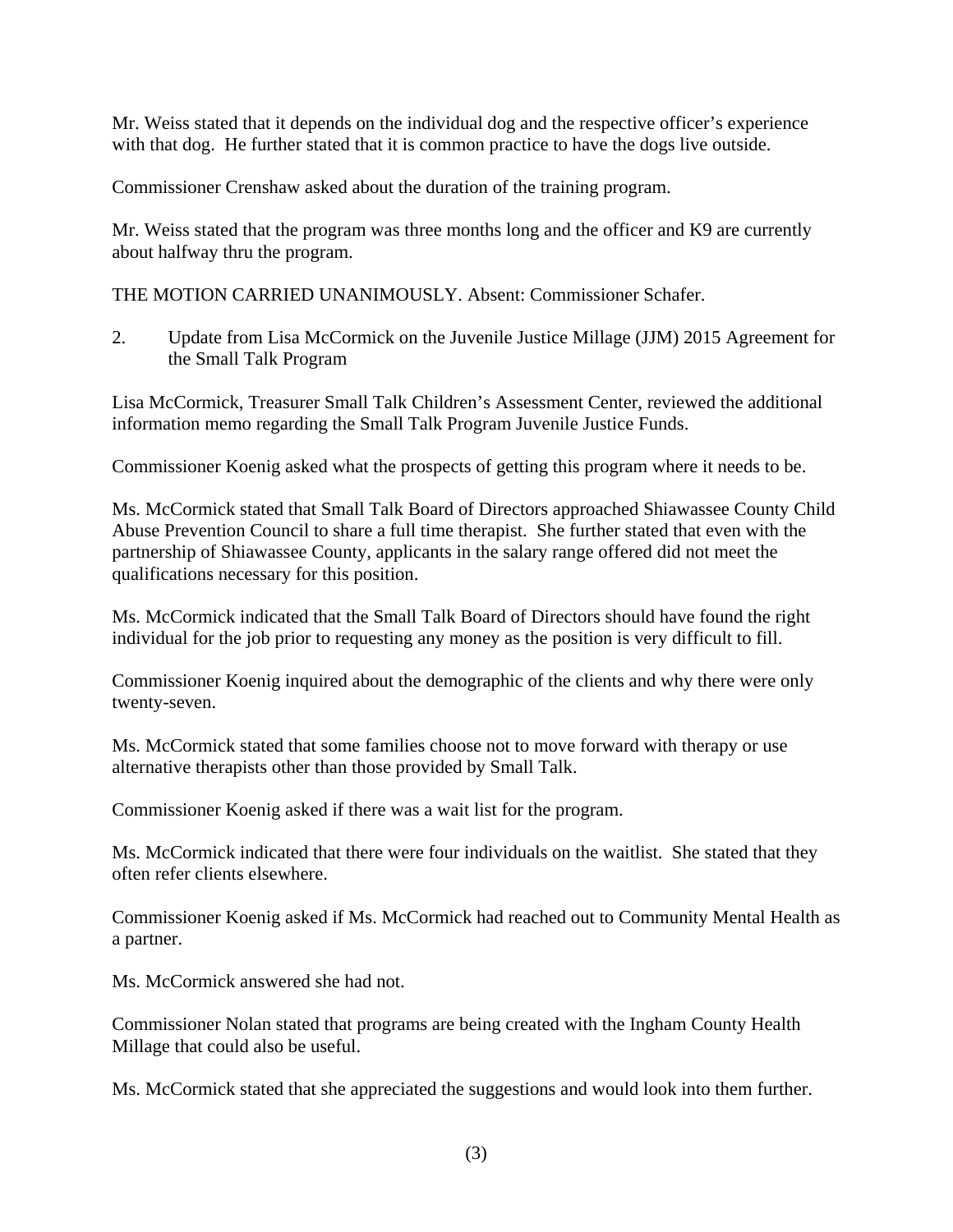Mr. Weiss stated that it depends on the individual dog and the respective officer's experience with that dog. He further stated that it is common practice to have the dogs live outside.

Commissioner Crenshaw asked about the duration of the training program.

Mr. Weiss stated that the program was three months long and the officer and K9 are currently about halfway thru the program.

THE MOTION CARRIED UNANIMOUSLY. Absent: Commissioner Schafer.

2. Update from Lisa McCormick on the Juvenile Justice Millage (JJM) 2015 Agreement for the Small Talk Program

Lisa McCormick, Treasurer Small Talk Children's Assessment Center, reviewed the additional information memo regarding the Small Talk Program Juvenile Justice Funds.

Commissioner Koenig asked what the prospects of getting this program where it needs to be.

Ms. McCormick stated that Small Talk Board of Directors approached Shiawassee County Child Abuse Prevention Council to share a full time therapist. She further stated that even with the partnership of Shiawassee County, applicants in the salary range offered did not meet the qualifications necessary for this position.

Ms. McCormick indicated that the Small Talk Board of Directors should have found the right individual for the job prior to requesting any money as the position is very difficult to fill.

Commissioner Koenig inquired about the demographic of the clients and why there were only twenty-seven.

Ms. McCormick stated that some families choose not to move forward with therapy or use alternative therapists other than those provided by Small Talk.

Commissioner Koenig asked if there was a wait list for the program.

Ms. McCormick indicated that there were four individuals on the waitlist. She stated that they often refer clients elsewhere.

Commissioner Koenig asked if Ms. McCormick had reached out to Community Mental Health as a partner.

Ms. McCormick answered she had not.

Commissioner Nolan stated that programs are being created with the Ingham County Health Millage that could also be useful.

Ms. McCormick stated that she appreciated the suggestions and would look into them further.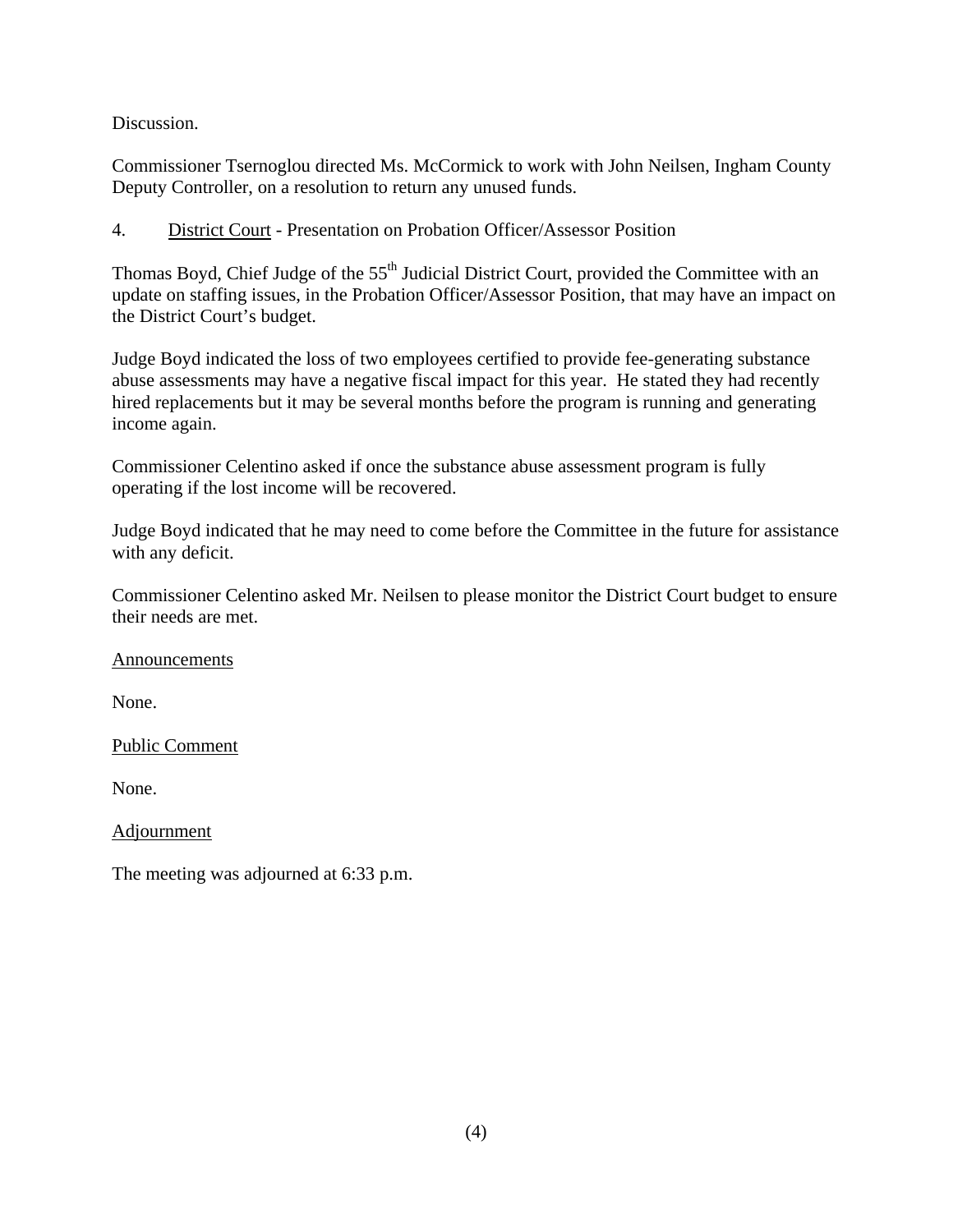Discussion.

Commissioner Tsernoglou directed Ms. McCormick to work with John Neilsen, Ingham County Deputy Controller, on a resolution to return any unused funds.

4. District Court - Presentation on Probation Officer/Assessor Position

Thomas Boyd, Chief Judge of the 55<sup>th</sup> Judicial District Court, provided the Committee with an update on staffing issues, in the Probation Officer/Assessor Position, that may have an impact on the District Court's budget.

Judge Boyd indicated the loss of two employees certified to provide fee-generating substance abuse assessments may have a negative fiscal impact for this year. He stated they had recently hired replacements but it may be several months before the program is running and generating income again.

Commissioner Celentino asked if once the substance abuse assessment program is fully operating if the lost income will be recovered.

Judge Boyd indicated that he may need to come before the Committee in the future for assistance with any deficit.

Commissioner Celentino asked Mr. Neilsen to please monitor the District Court budget to ensure their needs are met.

Announcements

None.

Public Comment

None.

Adjournment

The meeting was adjourned at 6:33 p.m.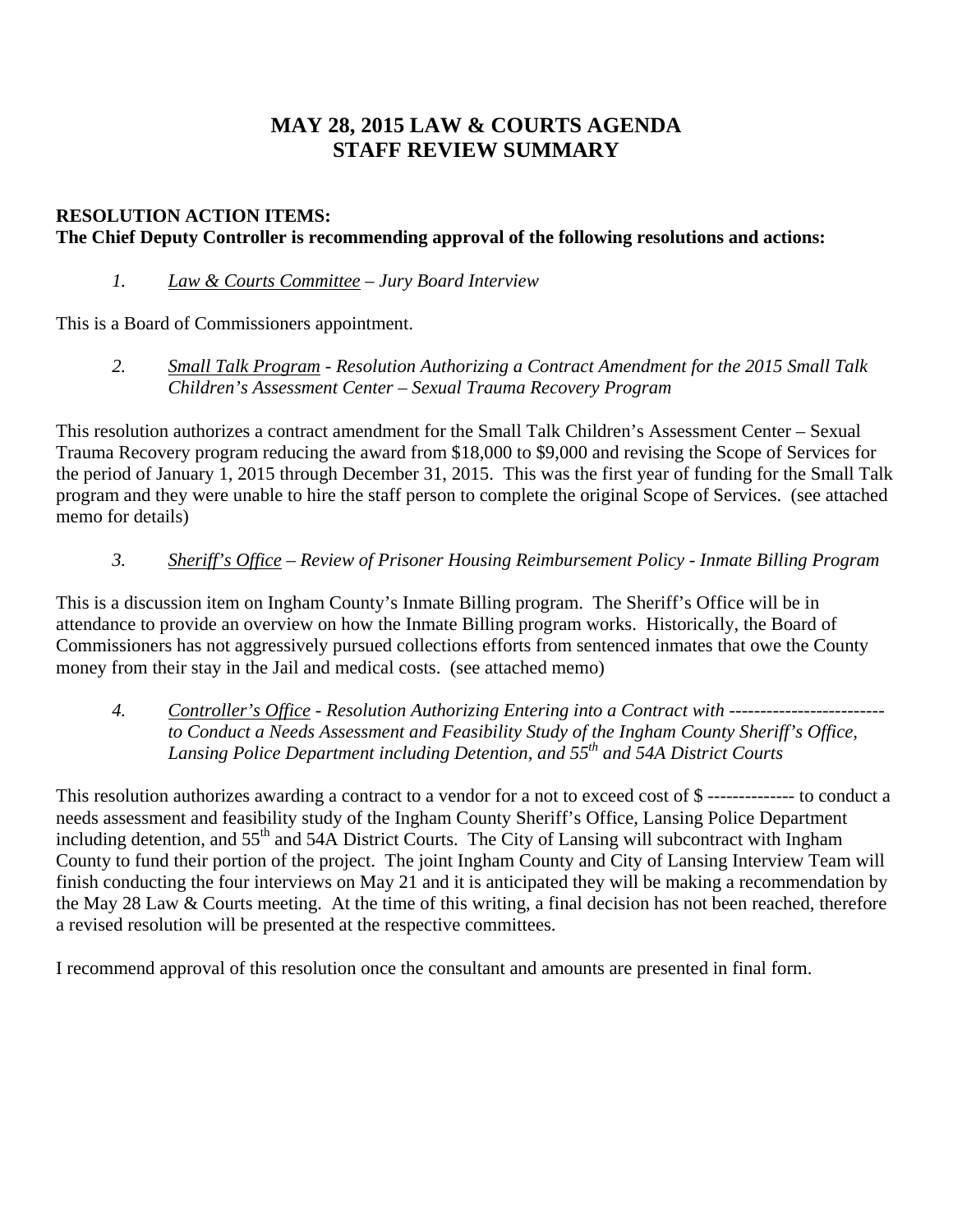# **MAY 28, 2015 LAW & COURTS AGENDA STAFF REVIEW SUMMARY**

# **RESOLUTION ACTION ITEMS: The Chief Deputy Controller is recommending approval of the following resolutions and actions:**

 *1. Law & Courts Committee – Jury Board Interview* 

This is a Board of Commissioners appointment.

*2. Small Talk Program - Resolution Authorizing a Contract Amendment for the 2015 Small Talk Children's Assessment Center – Sexual Trauma Recovery Program* 

This resolution authorizes a contract amendment for the Small Talk Children's Assessment Center – Sexual Trauma Recovery program reducing the award from \$18,000 to \$9,000 and revising the Scope of Services for the period of January 1, 2015 through December 31, 2015. This was the first year of funding for the Small Talk program and they were unable to hire the staff person to complete the original Scope of Services. (see attached memo for details)

*3. Sheriff's Office – Review of Prisoner Housing Reimbursement Policy - Inmate Billing Program* 

This is a discussion item on Ingham County's Inmate Billing program. The Sheriff's Office will be in attendance to provide an overview on how the Inmate Billing program works. Historically, the Board of Commissioners has not aggressively pursued collections efforts from sentenced inmates that owe the County money from their stay in the Jail and medical costs. (see attached memo)

*4. Controller's Office - Resolution Authorizing Entering into a Contract with ------------------------ to Conduct a Needs Assessment and Feasibility Study of the Ingham County Sheriff's Office, Lansing Police Department including Detention, and 55th and 54A District Courts* 

This resolution authorizes awarding a contract to a vendor for a not to exceed cost of \$ -------------- to conduct a needs assessment and feasibility study of the Ingham County Sheriff's Office, Lansing Police Department including detention, and 55<sup>th</sup> and 54A District Courts. The City of Lansing will subcontract with Ingham County to fund their portion of the project. The joint Ingham County and City of Lansing Interview Team will finish conducting the four interviews on May 21 and it is anticipated they will be making a recommendation by the May 28 Law & Courts meeting. At the time of this writing, a final decision has not been reached, therefore a revised resolution will be presented at the respective committees.

I recommend approval of this resolution once the consultant and amounts are presented in final form.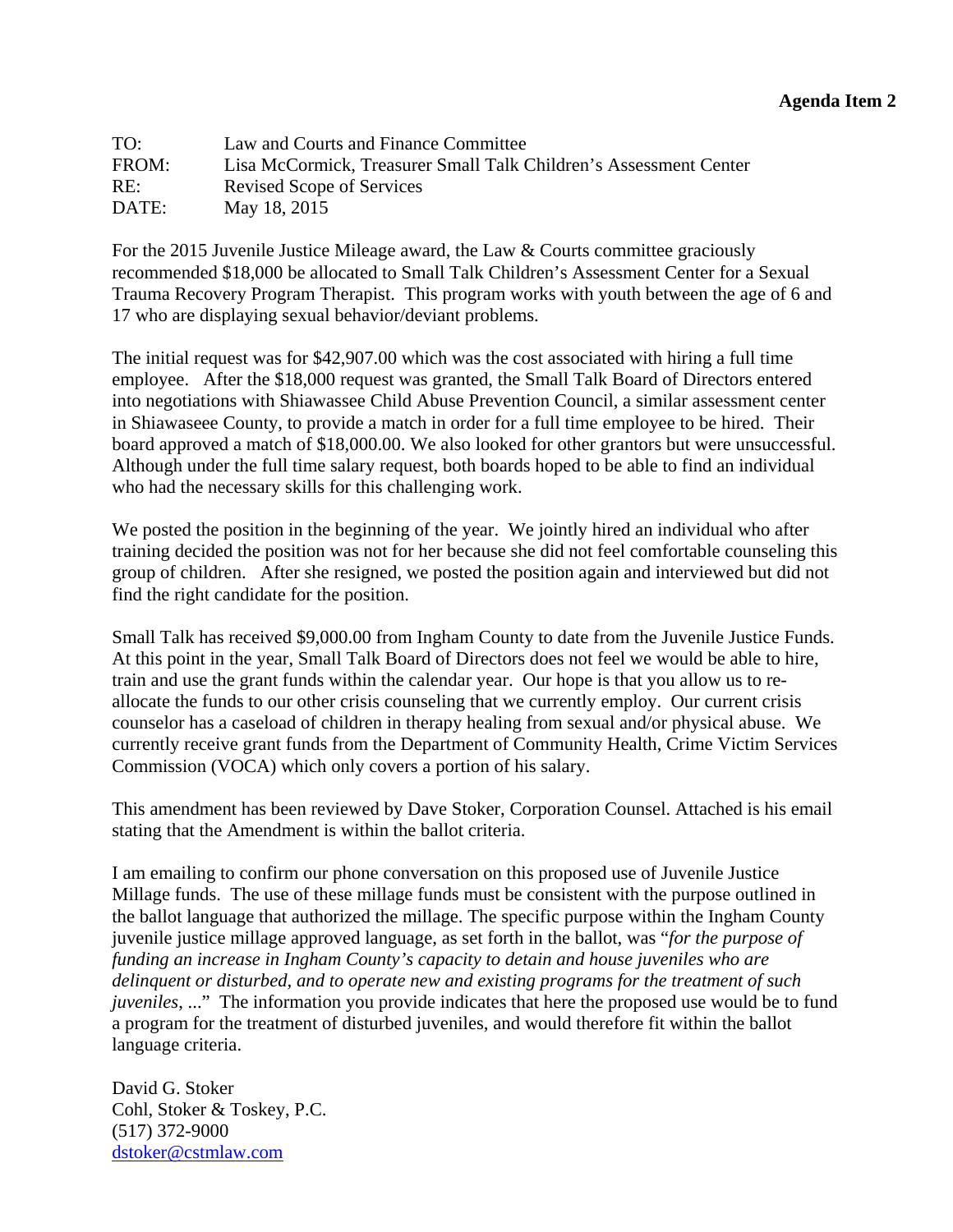<span id="page-6-0"></span>

| TO:   | Law and Courts and Finance Committee                              |
|-------|-------------------------------------------------------------------|
| FROM: | Lisa McCormick, Treasurer Small Talk Children's Assessment Center |
| RE:   | Revised Scope of Services                                         |
| DATE: | May 18, 2015                                                      |

For the 2015 Juvenile Justice Mileage award, the Law & Courts committee graciously recommended \$18,000 be allocated to Small Talk Children's Assessment Center for a Sexual Trauma Recovery Program Therapist. This program works with youth between the age of 6 and 17 who are displaying sexual behavior/deviant problems.

The initial request was for \$42,907.00 which was the cost associated with hiring a full time employee. After the \$18,000 request was granted, the Small Talk Board of Directors entered into negotiations with Shiawassee Child Abuse Prevention Council, a similar assessment center in Shiawaseee County, to provide a match in order for a full time employee to be hired. Their board approved a match of \$18,000.00. We also looked for other grantors but were unsuccessful. Although under the full time salary request, both boards hoped to be able to find an individual who had the necessary skills for this challenging work.

We posted the position in the beginning of the year. We jointly hired an individual who after training decided the position was not for her because she did not feel comfortable counseling this group of children. After she resigned, we posted the position again and interviewed but did not find the right candidate for the position.

Small Talk has received \$9,000.00 from Ingham County to date from the Juvenile Justice Funds. At this point in the year, Small Talk Board of Directors does not feel we would be able to hire, train and use the grant funds within the calendar year. Our hope is that you allow us to reallocate the funds to our other crisis counseling that we currently employ. Our current crisis counselor has a caseload of children in therapy healing from sexual and/or physical abuse. We currently receive grant funds from the Department of Community Health, Crime Victim Services Commission (VOCA) which only covers a portion of his salary.

This amendment has been reviewed by Dave Stoker, Corporation Counsel. Attached is his email stating that the Amendment is within the ballot criteria.

I am emailing to confirm our phone conversation on this proposed use of Juvenile Justice Millage funds. The use of these millage funds must be consistent with the purpose outlined in the ballot language that authorized the millage. The specific purpose within the Ingham County juvenile justice millage approved language, as set forth in the ballot, was "*for the purpose of funding an increase in Ingham County's capacity to detain and house juveniles who are delinquent or disturbed, and to operate new and existing programs for the treatment of such juveniles*, ..." The information you provide indicates that here the proposed use would be to fund a program for the treatment of disturbed juveniles, and would therefore fit within the ballot language criteria.

David G. Stoker Cohl, Stoker & Toskey, P.C. (517) 372-9000 dstoker@cstmlaw.com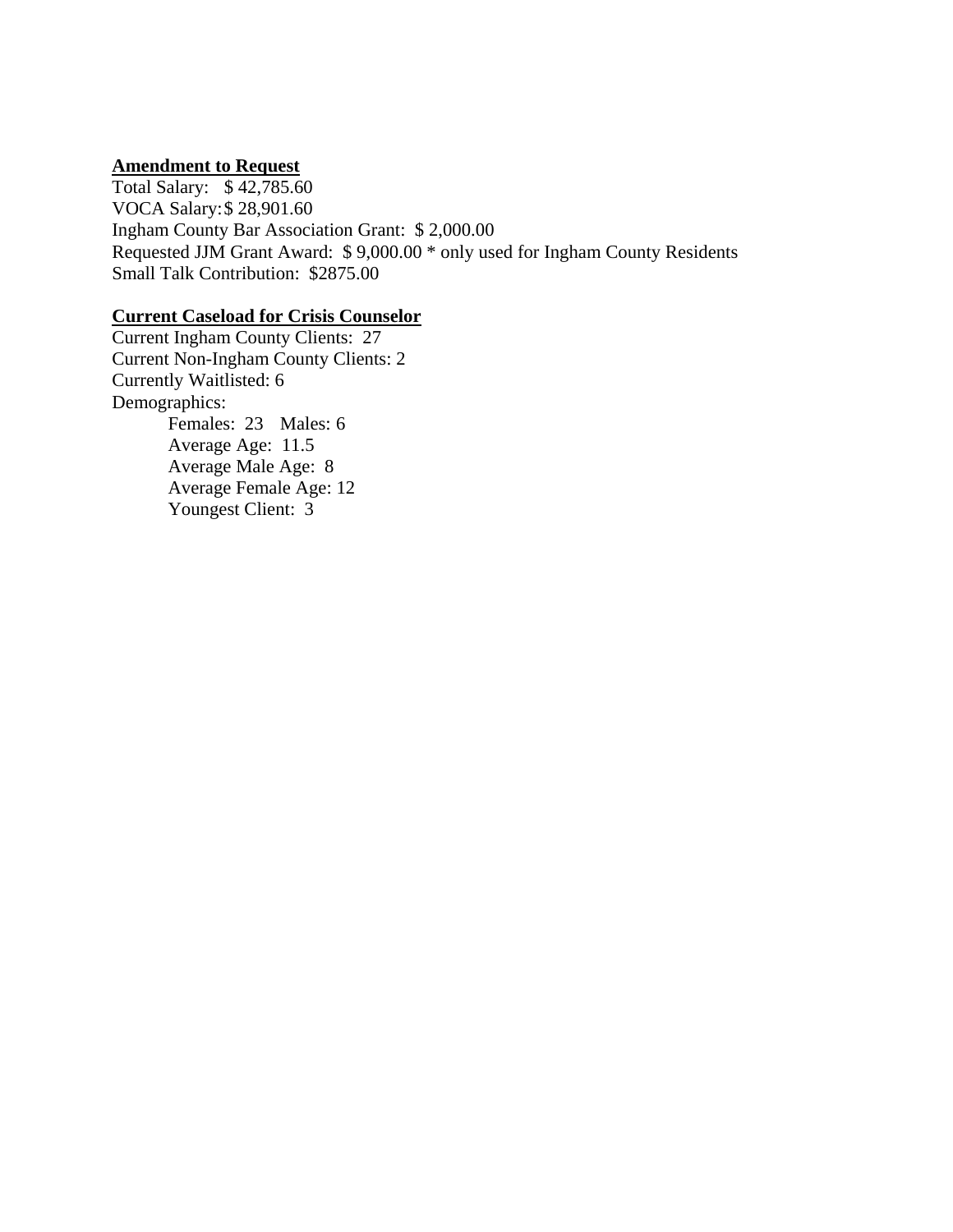# **Amendment to Request**

Total Salary: \$ 42,785.60 VOCA Salary: \$ 28,901.60 Ingham County Bar Association Grant: \$ 2,000.00 Requested JJM Grant Award: \$ 9,000.00 \* only used for Ingham County Residents Small Talk Contribution: \$2875.00

#### **Current Caseload for Crisis Counselor**

Current Ingham County Clients: 27 Current Non-Ingham County Clients: 2 Currently Waitlisted: 6 Demographics: Females: 23 Males: 6 Average Age: 11.5 Average Male Age: 8 Average Female Age: 12 Youngest Client: 3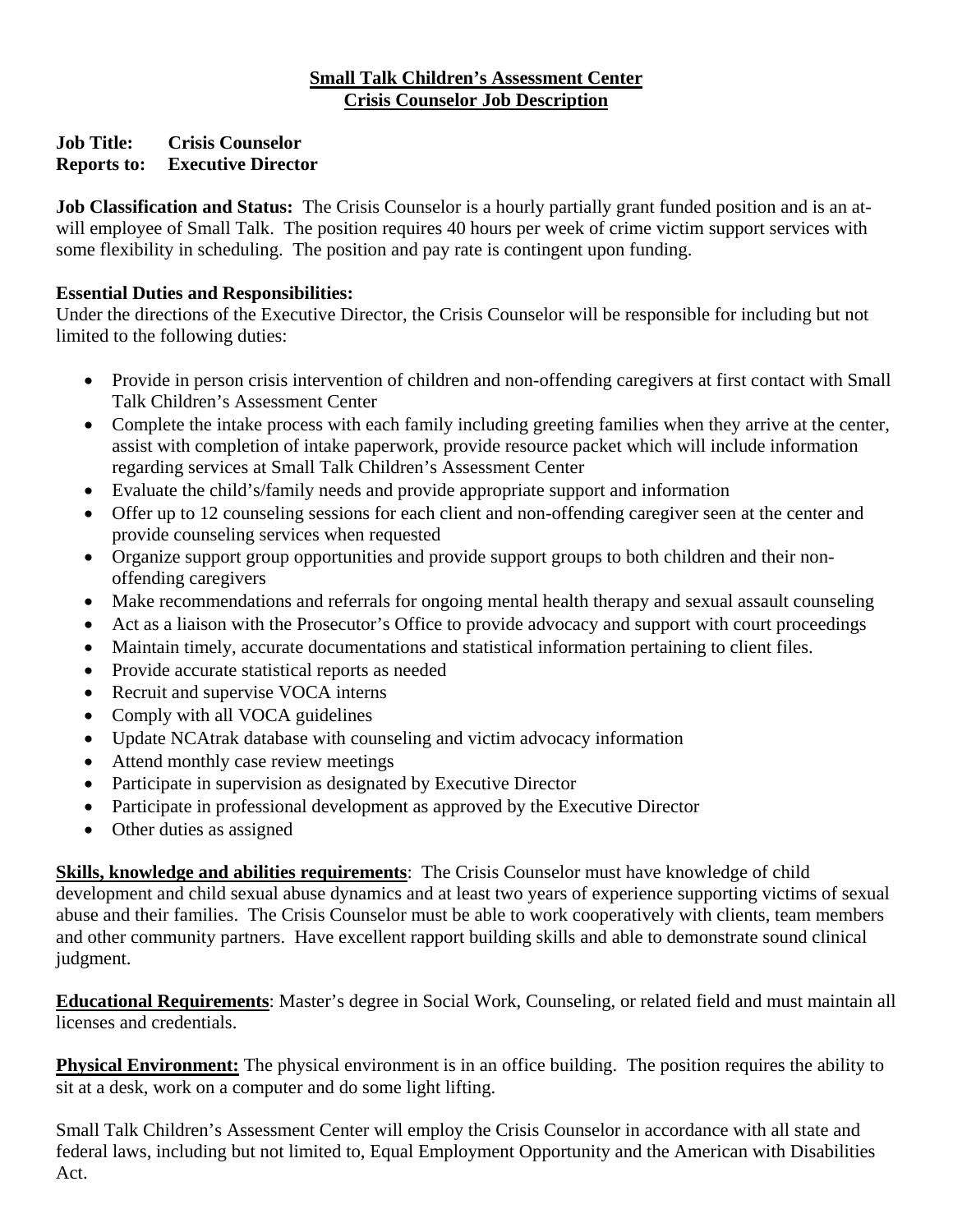# **Small Talk Children's Assessment Center Crisis Counselor Job Description**

# **Job Title: Crisis Counselor Reports to: Executive Director**

**Job Classification and Status:** The Crisis Counselor is a hourly partially grant funded position and is an atwill employee of Small Talk. The position requires 40 hours per week of crime victim support services with some flexibility in scheduling. The position and pay rate is contingent upon funding.

# **Essential Duties and Responsibilities:**

Under the directions of the Executive Director, the Crisis Counselor will be responsible for including but not limited to the following duties:

- Provide in person crisis intervention of children and non-offending caregivers at first contact with Small Talk Children's Assessment Center
- Complete the intake process with each family including greeting families when they arrive at the center, assist with completion of intake paperwork, provide resource packet which will include information regarding services at Small Talk Children's Assessment Center
- Evaluate the child's/family needs and provide appropriate support and information
- Offer up to 12 counseling sessions for each client and non-offending caregiver seen at the center and provide counseling services when requested
- Organize support group opportunities and provide support groups to both children and their nonoffending caregivers
- Make recommendations and referrals for ongoing mental health therapy and sexual assault counseling
- Act as a liaison with the Prosecutor's Office to provide advocacy and support with court proceedings
- Maintain timely, accurate documentations and statistical information pertaining to client files.
- Provide accurate statistical reports as needed
- Recruit and supervise VOCA interns
- Comply with all VOCA guidelines
- Update NCAtrak database with counseling and victim advocacy information
- Attend monthly case review meetings
- Participate in supervision as designated by Executive Director
- Participate in professional development as approved by the Executive Director
- Other duties as assigned

**Skills, knowledge and abilities requirements**: The Crisis Counselor must have knowledge of child development and child sexual abuse dynamics and at least two years of experience supporting victims of sexual abuse and their families. The Crisis Counselor must be able to work cooperatively with clients, team members and other community partners. Have excellent rapport building skills and able to demonstrate sound clinical judgment.

**Educational Requirements**: Master's degree in Social Work, Counseling, or related field and must maintain all licenses and credentials.

**Physical Environment:** The physical environment is in an office building. The position requires the ability to sit at a desk, work on a computer and do some light lifting.

Small Talk Children's Assessment Center will employ the Crisis Counselor in accordance with all state and federal laws, including but not limited to, Equal Employment Opportunity and the American with Disabilities Act.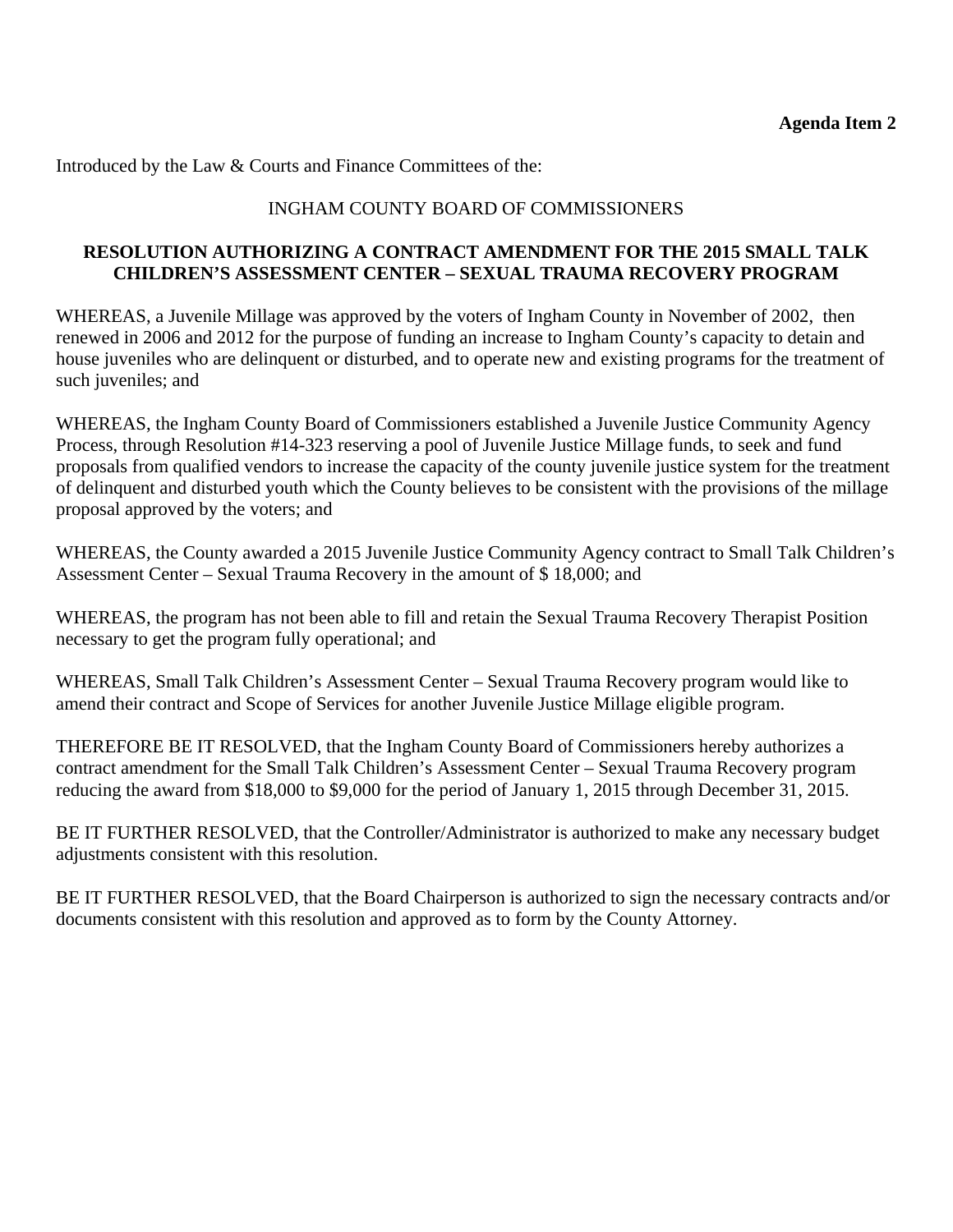Introduced by the Law & Courts and Finance Committees of the:

# INGHAM COUNTY BOARD OF COMMISSIONERS

## **RESOLUTION AUTHORIZING A CONTRACT AMENDMENT FOR THE 2015 SMALL TALK CHILDREN'S ASSESSMENT CENTER – SEXUAL TRAUMA RECOVERY PROGRAM**

WHEREAS, a Juvenile Millage was approved by the voters of Ingham County in November of 2002, then renewed in 2006 and 2012 for the purpose of funding an increase to Ingham County's capacity to detain and house juveniles who are delinquent or disturbed, and to operate new and existing programs for the treatment of such juveniles; and

WHEREAS, the Ingham County Board of Commissioners established a Juvenile Justice Community Agency Process, through Resolution #14-323 reserving a pool of Juvenile Justice Millage funds, to seek and fund proposals from qualified vendors to increase the capacity of the county juvenile justice system for the treatment of delinquent and disturbed youth which the County believes to be consistent with the provisions of the millage proposal approved by the voters; and

WHEREAS, the County awarded a 2015 Juvenile Justice Community Agency contract to Small Talk Children's Assessment Center – Sexual Trauma Recovery in the amount of \$ 18,000; and

WHEREAS, the program has not been able to fill and retain the Sexual Trauma Recovery Therapist Position necessary to get the program fully operational; and

WHEREAS, Small Talk Children's Assessment Center – Sexual Trauma Recovery program would like to amend their contract and Scope of Services for another Juvenile Justice Millage eligible program.

THEREFORE BE IT RESOLVED, that the Ingham County Board of Commissioners hereby authorizes a contract amendment for the Small Talk Children's Assessment Center – Sexual Trauma Recovery program reducing the award from \$18,000 to \$9,000 for the period of January 1, 2015 through December 31, 2015.

BE IT FURTHER RESOLVED, that the Controller/Administrator is authorized to make any necessary budget adjustments consistent with this resolution.

BE IT FURTHER RESOLVED, that the Board Chairperson is authorized to sign the necessary contracts and/or documents consistent with this resolution and approved as to form by the County Attorney.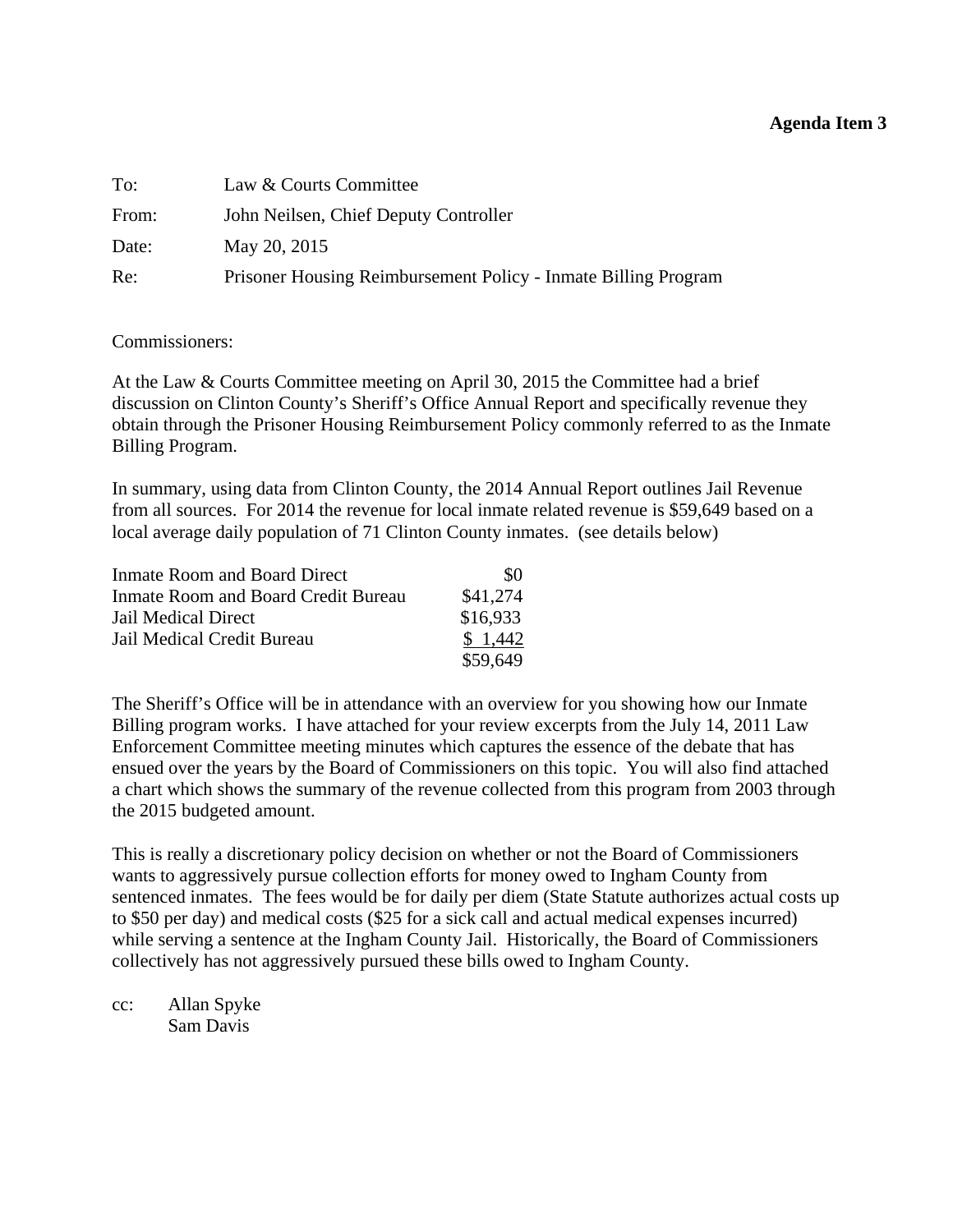#### **Agenda Item 3**

<span id="page-10-0"></span>

| To:   | Law & Courts Committee                                         |
|-------|----------------------------------------------------------------|
| From: | John Neilsen, Chief Deputy Controller                          |
| Date: | May 20, 2015                                                   |
| Re:   | Prisoner Housing Reimbursement Policy - Inmate Billing Program |

#### Commissioners:

At the Law & Courts Committee meeting on April 30, 2015 the Committee had a brief discussion on Clinton County's Sheriff's Office Annual Report and specifically revenue they obtain through the Prisoner Housing Reimbursement Policy commonly referred to as the Inmate Billing Program.

In summary, using data from Clinton County, the 2014 Annual Report outlines Jail Revenue from all sources. For 2014 the revenue for local inmate related revenue is \$59,649 based on a local average daily population of 71 Clinton County inmates. (see details below)

| <b>Inmate Room and Board Direct</b> | \$0      |
|-------------------------------------|----------|
| Inmate Room and Board Credit Bureau | \$41,274 |
| Jail Medical Direct                 | \$16,933 |
| Jail Medical Credit Bureau          | \$1,442  |
|                                     | \$59,649 |

The Sheriff's Office will be in attendance with an overview for you showing how our Inmate Billing program works. I have attached for your review excerpts from the July 14, 2011 Law Enforcement Committee meeting minutes which captures the essence of the debate that has ensued over the years by the Board of Commissioners on this topic. You will also find attached a chart which shows the summary of the revenue collected from this program from 2003 through the 2015 budgeted amount.

This is really a discretionary policy decision on whether or not the Board of Commissioners wants to aggressively pursue collection efforts for money owed to Ingham County from sentenced inmates. The fees would be for daily per diem (State Statute authorizes actual costs up to \$50 per day) and medical costs (\$25 for a sick call and actual medical expenses incurred) while serving a sentence at the Ingham County Jail. Historically, the Board of Commissioners collectively has not aggressively pursued these bills owed to Ingham County.

cc: Allan Spyke Sam Davis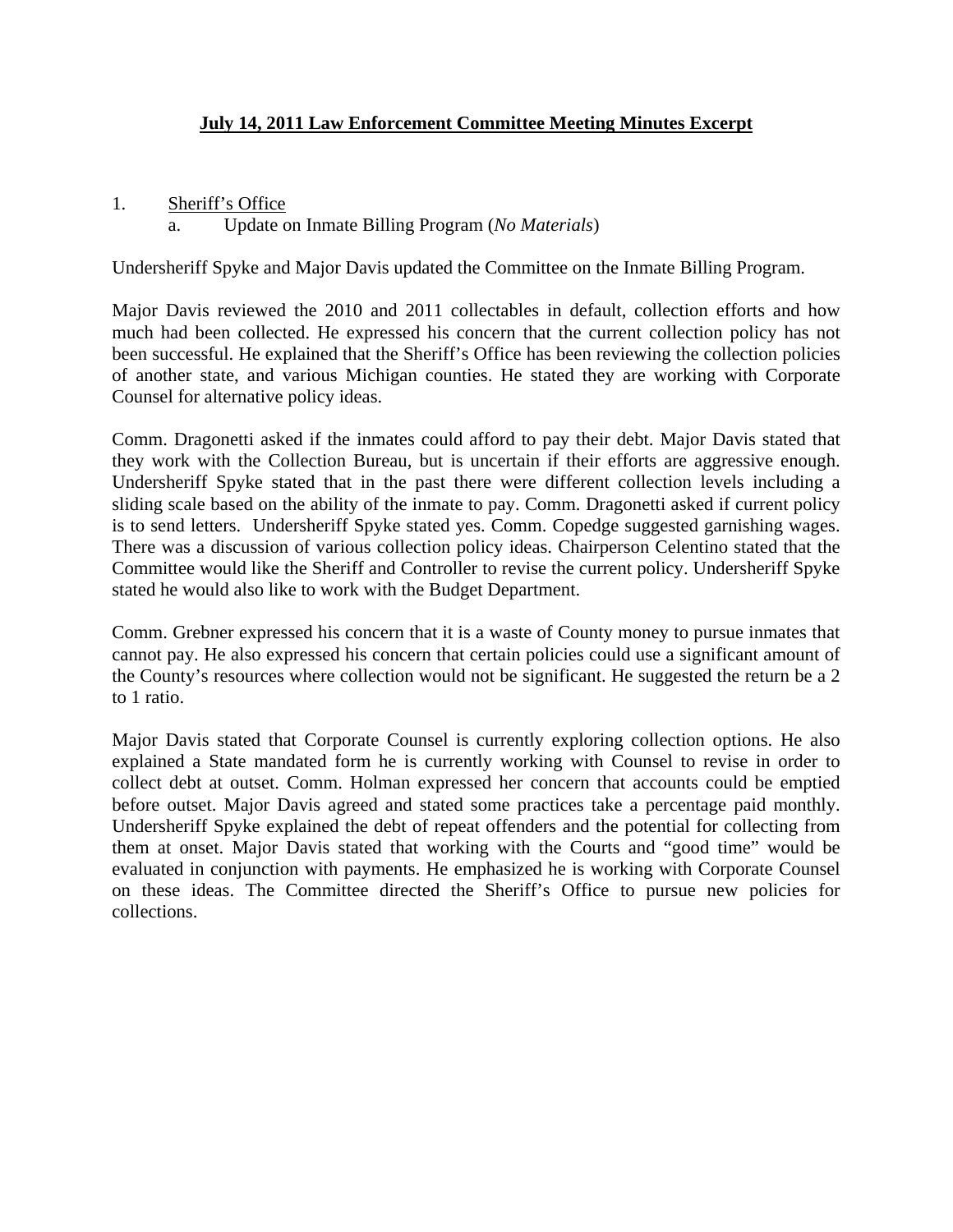# **July 14, 2011 Law Enforcement Committee Meeting Minutes Excerpt**

1. Sheriff's Office

# a. Update on Inmate Billing Program (*No Materials*)

Undersheriff Spyke and Major Davis updated the Committee on the Inmate Billing Program.

Major Davis reviewed the 2010 and 2011 collectables in default, collection efforts and how much had been collected. He expressed his concern that the current collection policy has not been successful. He explained that the Sheriff's Office has been reviewing the collection policies of another state, and various Michigan counties. He stated they are working with Corporate Counsel for alternative policy ideas.

Comm. Dragonetti asked if the inmates could afford to pay their debt. Major Davis stated that they work with the Collection Bureau, but is uncertain if their efforts are aggressive enough. Undersheriff Spyke stated that in the past there were different collection levels including a sliding scale based on the ability of the inmate to pay. Comm. Dragonetti asked if current policy is to send letters. Undersheriff Spyke stated yes. Comm. Copedge suggested garnishing wages. There was a discussion of various collection policy ideas. Chairperson Celentino stated that the Committee would like the Sheriff and Controller to revise the current policy. Undersheriff Spyke stated he would also like to work with the Budget Department.

Comm. Grebner expressed his concern that it is a waste of County money to pursue inmates that cannot pay. He also expressed his concern that certain policies could use a significant amount of the County's resources where collection would not be significant. He suggested the return be a 2 to 1 ratio.

Major Davis stated that Corporate Counsel is currently exploring collection options. He also explained a State mandated form he is currently working with Counsel to revise in order to collect debt at outset. Comm. Holman expressed her concern that accounts could be emptied before outset. Major Davis agreed and stated some practices take a percentage paid monthly. Undersheriff Spyke explained the debt of repeat offenders and the potential for collecting from them at onset. Major Davis stated that working with the Courts and "good time" would be evaluated in conjunction with payments. He emphasized he is working with Corporate Counsel on these ideas. The Committee directed the Sheriff's Office to pursue new policies for collections.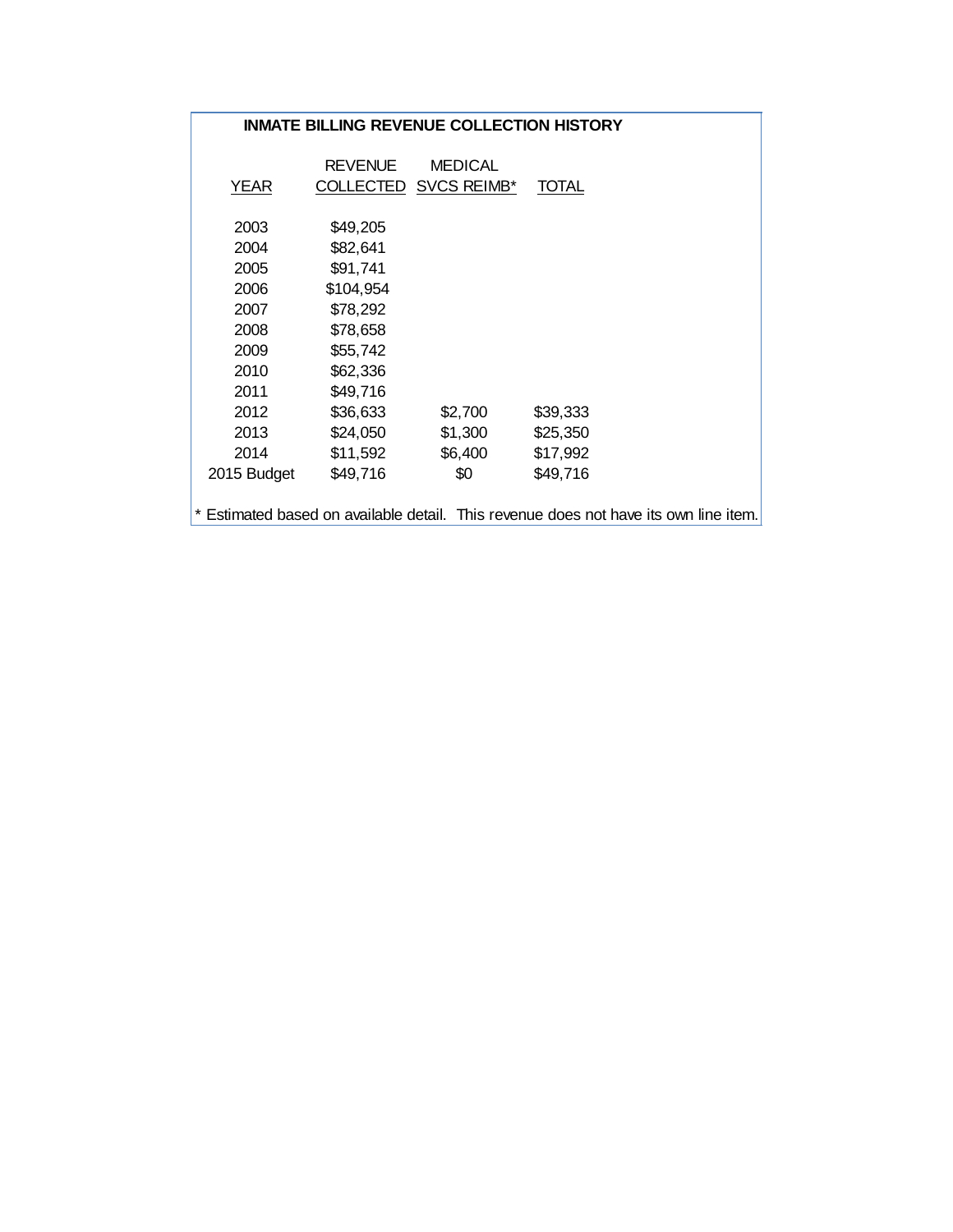#### **INMATE BILLING REVENUE COLLECTION HISTORY**

| <b>YEAR</b>                                                                          | <b>REVENUE</b><br>COLLECTED | <b>MEDICAL</b><br>SVCS REIMB* | <b>TOTAL</b> |  |
|--------------------------------------------------------------------------------------|-----------------------------|-------------------------------|--------------|--|
| 2003                                                                                 | \$49,205                    |                               |              |  |
| 2004                                                                                 | \$82,641                    |                               |              |  |
| 2005                                                                                 | \$91,741                    |                               |              |  |
| 2006                                                                                 | \$104,954                   |                               |              |  |
| 2007                                                                                 | \$78,292                    |                               |              |  |
| 2008                                                                                 | \$78,658                    |                               |              |  |
| 2009                                                                                 | \$55,742                    |                               |              |  |
| 2010                                                                                 | \$62,336                    |                               |              |  |
| 2011                                                                                 | \$49,716                    |                               |              |  |
| 2012                                                                                 | \$36,633                    | \$2,700                       | \$39,333     |  |
| 2013                                                                                 | \$24,050                    | \$1,300                       | \$25,350     |  |
| 2014                                                                                 | \$11,592                    | \$6,400                       | \$17,992     |  |
| 2015 Budget                                                                          | \$49,716                    | \$0                           | \$49,716     |  |
|                                                                                      |                             |                               |              |  |
| * Estimated based on available detail. This revenue does not have its own line item. |                             |                               |              |  |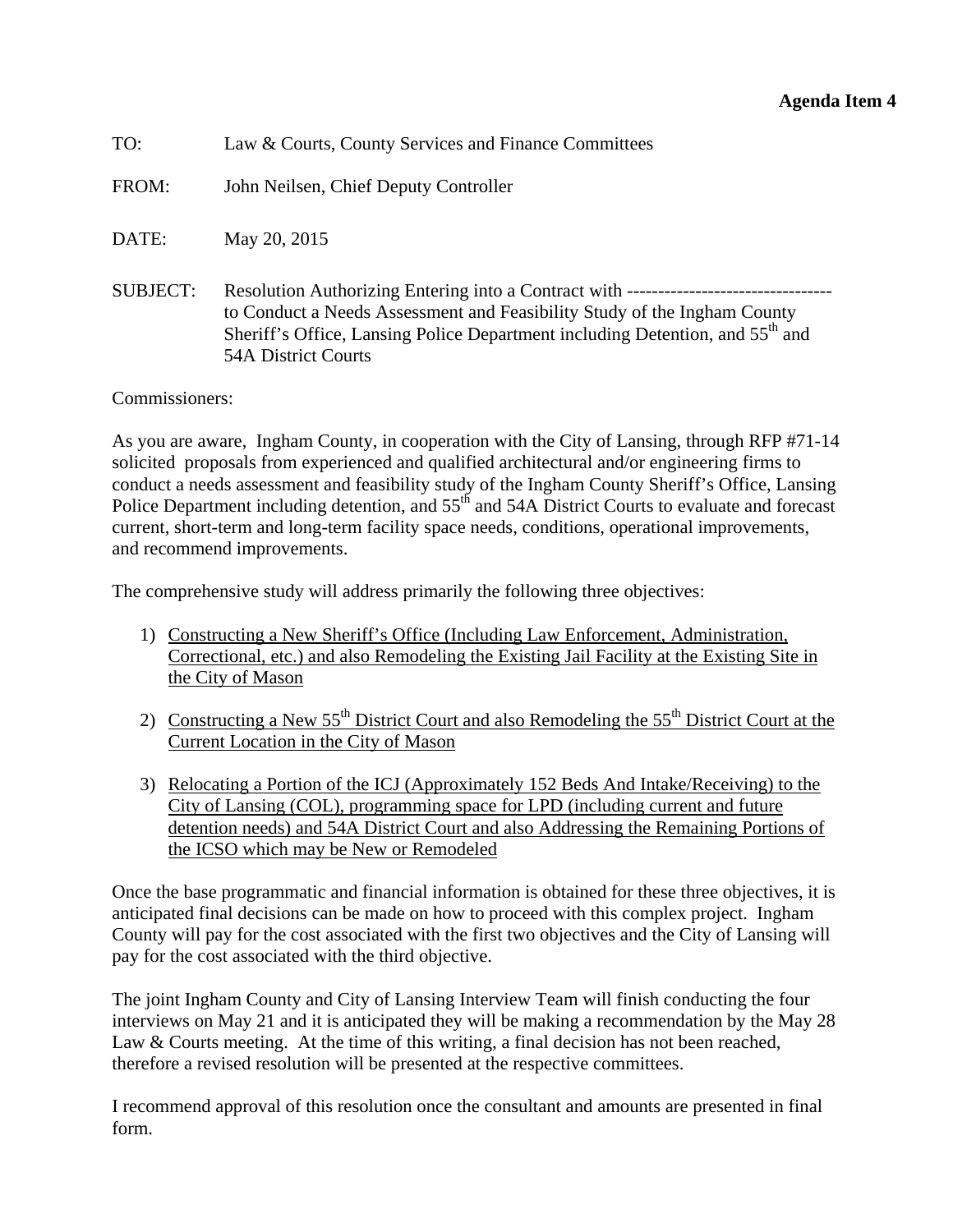<span id="page-13-0"></span>

| TO:             | Law & Courts, County Services and Finance Committees                                                                                                                                                |
|-----------------|-----------------------------------------------------------------------------------------------------------------------------------------------------------------------------------------------------|
| FROM:           | John Neilsen, Chief Deputy Controller                                                                                                                                                               |
| DATE:           | May 20, 2015                                                                                                                                                                                        |
| <b>SUBJECT:</b> | to Conduct a Needs Assessment and Feasibility Study of the Ingham County<br>Sheriff's Office, Lansing Police Department including Detention, and 55 <sup>th</sup> and<br><b>54A District Courts</b> |

Commissioners:

As you are aware, Ingham County, in cooperation with the City of Lansing, through RFP #71-14 solicited proposals from experienced and qualified architectural and/or engineering firms to conduct a needs assessment and feasibility study of the Ingham County Sheriff's Office, Lansing Police Department including detention, and 55<sup>th</sup> and 54A District Courts to evaluate and forecast current, short-term and long-term facility space needs, conditions, operational improvements, and recommend improvements.

The comprehensive study will address primarily the following three objectives:

- 1) Constructing a New Sheriff's Office (Including Law Enforcement, Administration, Correctional, etc.) and also Remodeling the Existing Jail Facility at the Existing Site in the City of Mason
- 2) Constructing a New  $55<sup>th</sup>$  District Court and also Remodeling the  $55<sup>th</sup>$  District Court at the Current Location in the City of Mason
- 3) Relocating a Portion of the ICJ (Approximately 152 Beds And Intake/Receiving) to the City of Lansing (COL), programming space for LPD (including current and future detention needs) and 54A District Court and also Addressing the Remaining Portions of the ICSO which may be New or Remodeled

Once the base programmatic and financial information is obtained for these three objectives, it is anticipated final decisions can be made on how to proceed with this complex project. Ingham County will pay for the cost associated with the first two objectives and the City of Lansing will pay for the cost associated with the third objective.

The joint Ingham County and City of Lansing Interview Team will finish conducting the four interviews on May 21 and it is anticipated they will be making a recommendation by the May 28 Law & Courts meeting. At the time of this writing, a final decision has not been reached, therefore a revised resolution will be presented at the respective committees.

I recommend approval of this resolution once the consultant and amounts are presented in final form.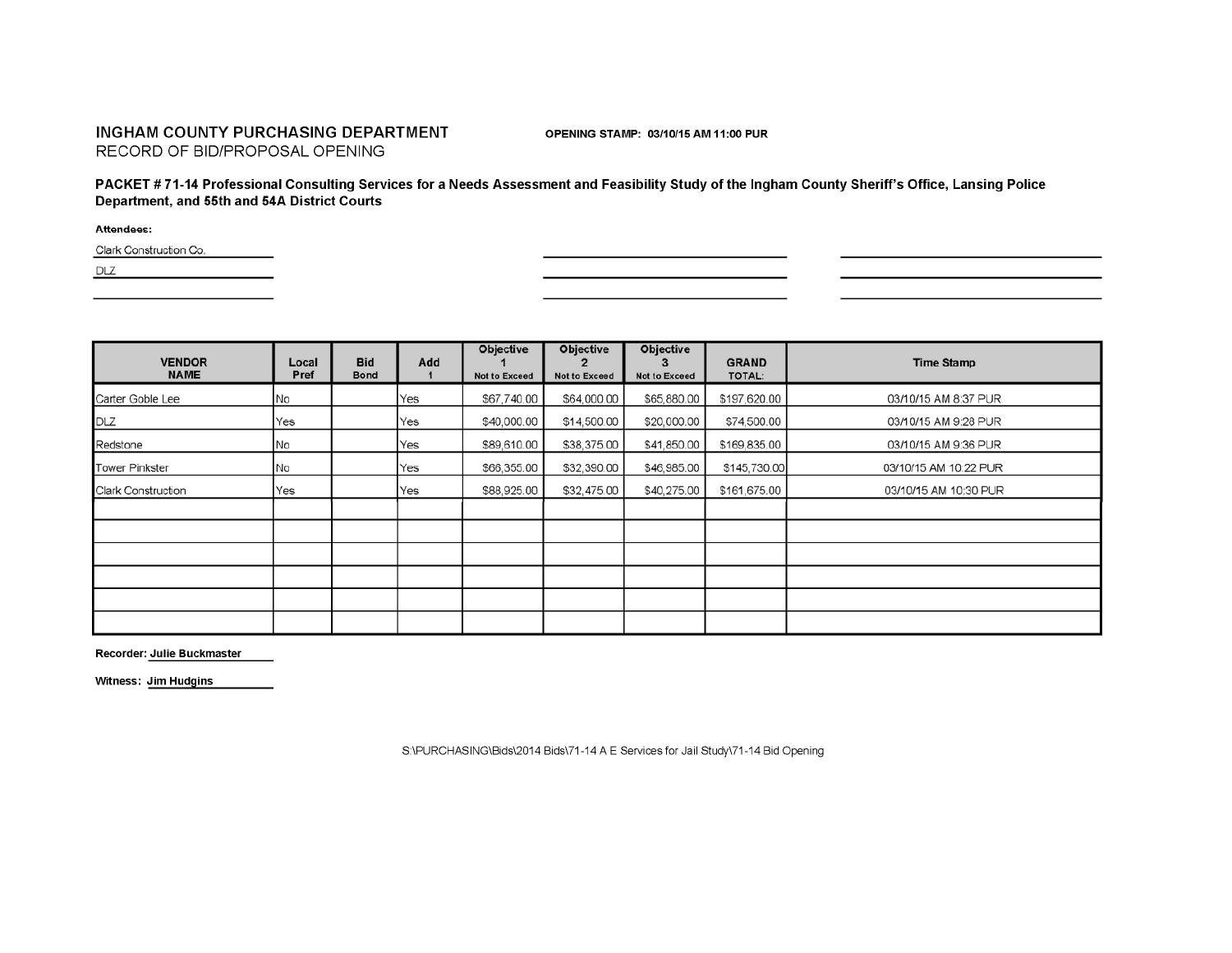#### INGHAM COUNTY PURCHASING DEPARTMENT RECORD OF BID/PROPOSAL OPENING

OPENING STAMP: 03/10/15 AM 11:00 PUR

PACKET #71-14 Professional Consulting Services for a Needs Assessment and Feasibility Study of the Ingham County Sheriff's Office, Lansing Police Department, and 55th and 54A District Courts

Attendees:

Clark Construction Co.

DLZ

| <b>VENDOR</b><br><b>NAME</b> | Local<br>Pref | <b>Bid</b><br><b>Bond</b> | Add | <b>Objective</b><br><b>Not to Exceed</b> | <b>Objective</b><br><b>Not to Exceed</b> | <b>Objective</b><br><b>Not to Exceed</b> | <b>GRAND</b><br><b>TOTAL:</b> | <b>Time Stamp</b>     |
|------------------------------|---------------|---------------------------|-----|------------------------------------------|------------------------------------------|------------------------------------------|-------------------------------|-----------------------|
| Carter Goble Lee             | No            |                           | Yes | \$67,740.00                              | \$64,000.00                              | \$65,880.00                              | \$197,620.00                  | 03/10/15 AM 8:37 PUR  |
| DLZ                          | Yes           |                           | Yes | \$40,000.00                              | \$14,500.00                              | \$20,000.00                              | \$74,500.00                   | 03/10/15 AM 9:28 PUR  |
| Redstone                     | No            |                           | Yes | \$89,610.00                              | \$38,375.00                              | \$41,850.00                              | \$169,835.00                  | 03/10/15 AM 9:36 PUR  |
| <b>Tower Pinkster</b>        | No            |                           | Yes | \$66,355.00                              | \$32,390.00                              | \$46,985.00                              | \$145,730.00                  | 03/10/15 AM 10:22 PUR |
| <b>Clark Construction</b>    | Yes           |                           | Yes | \$88,925.00                              | \$32,475.00                              | \$40,275.00                              | \$161,675.00                  | 03/10/15 AM 10:30 PUR |
|                              |               |                           |     |                                          |                                          |                                          |                               |                       |
|                              |               |                           |     |                                          |                                          |                                          |                               |                       |
|                              |               |                           |     |                                          |                                          |                                          |                               |                       |
|                              |               |                           |     |                                          |                                          |                                          |                               |                       |
|                              |               |                           |     |                                          |                                          |                                          |                               |                       |
|                              |               |                           |     |                                          |                                          |                                          |                               |                       |

Recorder: Julie Buckmaster

Witness: Jim Hudgins

S:\PURCHASING\Bids\2014 Bids\71-14 A E Services for Jail Study\71-14 Bid Opening